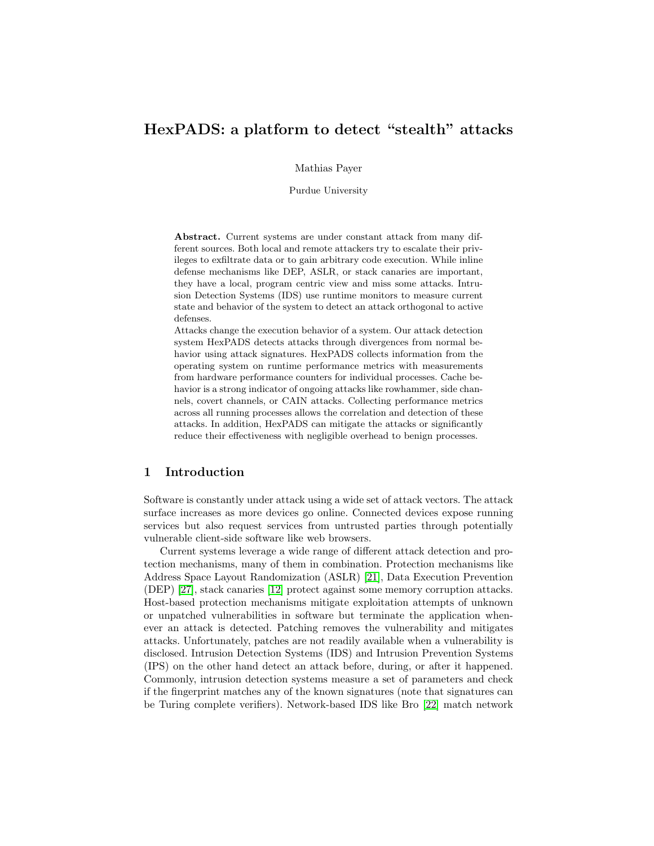# HexPADS: a platform to detect "stealth" attacks

Mathias Payer

Purdue University

Abstract. Current systems are under constant attack from many different sources. Both local and remote attackers try to escalate their privileges to exfiltrate data or to gain arbitrary code execution. While inline defense mechanisms like DEP, ASLR, or stack canaries are important, they have a local, program centric view and miss some attacks. Intrusion Detection Systems (IDS) use runtime monitors to measure current state and behavior of the system to detect an attack orthogonal to active defenses.

Attacks change the execution behavior of a system. Our attack detection system HexPADS detects attacks through divergences from normal behavior using attack signatures. HexPADS collects information from the operating system on runtime performance metrics with measurements from hardware performance counters for individual processes. Cache behavior is a strong indicator of ongoing attacks like rowhammer, side channels, covert channels, or CAIN attacks. Collecting performance metrics across all running processes allows the correlation and detection of these attacks. In addition, HexPADS can mitigate the attacks or significantly reduce their effectiveness with negligible overhead to benign processes.

# 1 Introduction

Software is constantly under attack using a wide set of attack vectors. The attack surface increases as more devices go online. Connected devices expose running services but also request services from untrusted parties through potentially vulnerable client-side software like web browsers.

Current systems leverage a wide range of different attack detection and protection mechanisms, many of them in combination. Protection mechanisms like Address Space Layout Randomization (ASLR) [\[21\]](#page-15-0), Data Execution Prevention (DEP) [\[27\]](#page-15-1), stack canaries [\[12\]](#page-14-0) protect against some memory corruption attacks. Host-based protection mechanisms mitigate exploitation attempts of unknown or unpatched vulnerabilities in software but terminate the application whenever an attack is detected. Patching removes the vulnerability and mitigates attacks. Unfortunately, patches are not readily available when a vulnerability is disclosed. Intrusion Detection Systems (IDS) and Intrusion Prevention Systems (IPS) on the other hand detect an attack before, during, or after it happened. Commonly, intrusion detection systems measure a set of parameters and check if the fingerprint matches any of the known signatures (note that signatures can be Turing complete verifiers). Network-based IDS like Bro [\[22\]](#page-15-2) match network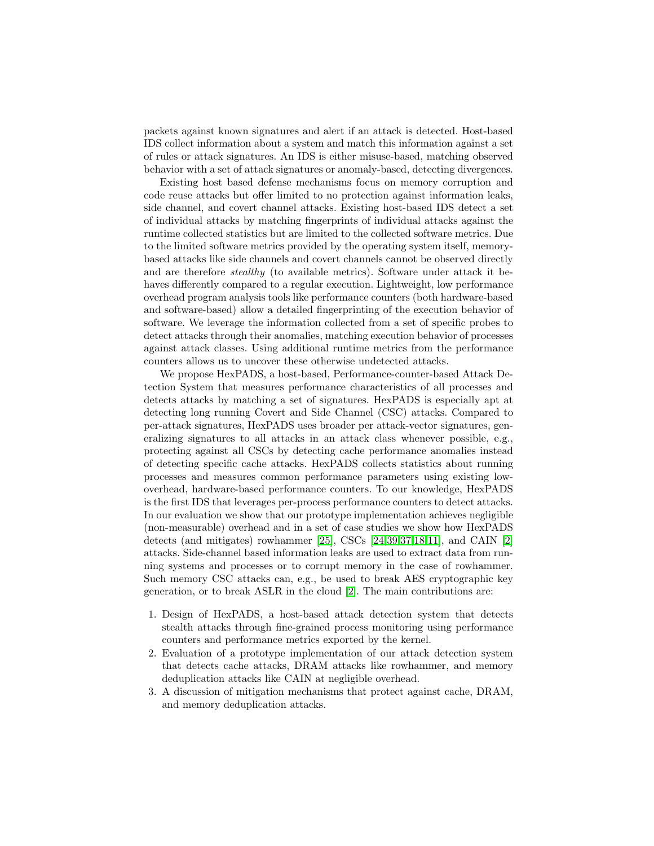packets against known signatures and alert if an attack is detected. Host-based IDS collect information about a system and match this information against a set of rules or attack signatures. An IDS is either misuse-based, matching observed behavior with a set of attack signatures or anomaly-based, detecting divergences.

Existing host based defense mechanisms focus on memory corruption and code reuse attacks but offer limited to no protection against information leaks, side channel, and covert channel attacks. Existing host-based IDS detect a set of individual attacks by matching fingerprints of individual attacks against the runtime collected statistics but are limited to the collected software metrics. Due to the limited software metrics provided by the operating system itself, memorybased attacks like side channels and covert channels cannot be observed directly and are therefore stealthy (to available metrics). Software under attack it behaves differently compared to a regular execution. Lightweight, low performance overhead program analysis tools like performance counters (both hardware-based and software-based) allow a detailed fingerprinting of the execution behavior of software. We leverage the information collected from a set of specific probes to detect attacks through their anomalies, matching execution behavior of processes against attack classes. Using additional runtime metrics from the performance counters allows us to uncover these otherwise undetected attacks.

We propose HexPADS, a host-based, Performance-counter-based Attack Detection System that measures performance characteristics of all processes and detects attacks by matching a set of signatures. HexPADS is especially apt at detecting long running Covert and Side Channel (CSC) attacks. Compared to per-attack signatures, HexPADS uses broader per attack-vector signatures, generalizing signatures to all attacks in an attack class whenever possible, e.g., protecting against all CSCs by detecting cache performance anomalies instead of detecting specific cache attacks. HexPADS collects statistics about running processes and measures common performance parameters using existing lowoverhead, hardware-based performance counters. To our knowledge, HexPADS is the first IDS that leverages per-process performance counters to detect attacks. In our evaluation we show that our prototype implementation achieves negligible (non-measurable) overhead and in a set of case studies we show how HexPADS detects (and mitigates) rowhammer [\[25\]](#page-15-3), CSCs [\[24,](#page-15-4)[39,](#page-16-0)[37,](#page-15-5)[18,](#page-15-6)[11\]](#page-14-1), and CAIN [\[2\]](#page-14-2) attacks. Side-channel based information leaks are used to extract data from running systems and processes or to corrupt memory in the case of rowhammer. Such memory CSC attacks can, e.g., be used to break AES cryptographic key generation, or to break ASLR in the cloud [\[2\]](#page-14-2). The main contributions are:

- 1. Design of HexPADS, a host-based attack detection system that detects stealth attacks through fine-grained process monitoring using performance counters and performance metrics exported by the kernel.
- 2. Evaluation of a prototype implementation of our attack detection system that detects cache attacks, DRAM attacks like rowhammer, and memory deduplication attacks like CAIN at negligible overhead.
- 3. A discussion of mitigation mechanisms that protect against cache, DRAM, and memory deduplication attacks.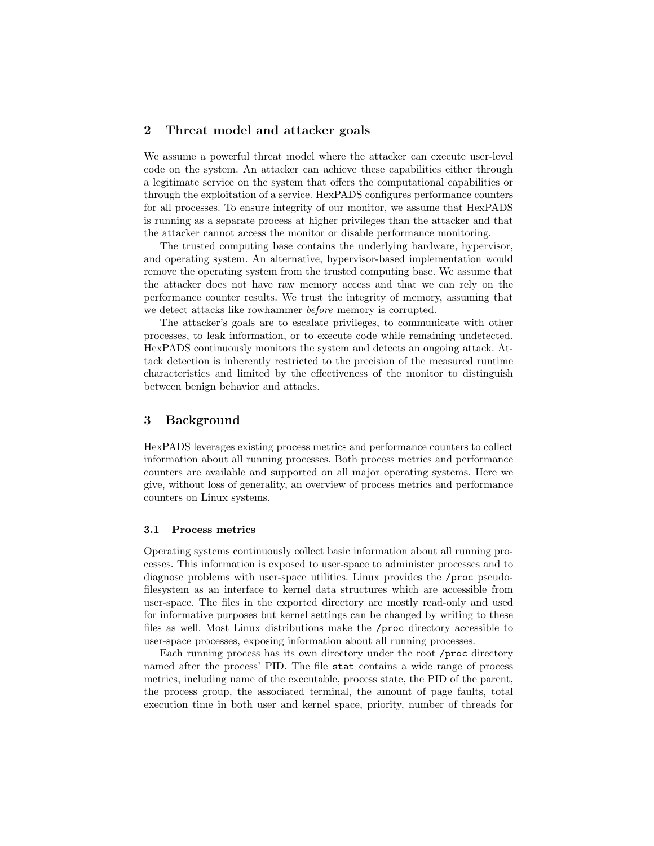# 2 Threat model and attacker goals

We assume a powerful threat model where the attacker can execute user-level code on the system. An attacker can achieve these capabilities either through a legitimate service on the system that offers the computational capabilities or through the exploitation of a service. HexPADS configures performance counters for all processes. To ensure integrity of our monitor, we assume that HexPADS is running as a separate process at higher privileges than the attacker and that the attacker cannot access the monitor or disable performance monitoring.

The trusted computing base contains the underlying hardware, hypervisor, and operating system. An alternative, hypervisor-based implementation would remove the operating system from the trusted computing base. We assume that the attacker does not have raw memory access and that we can rely on the performance counter results. We trust the integrity of memory, assuming that we detect attacks like rowhammer before memory is corrupted.

The attacker's goals are to escalate privileges, to communicate with other processes, to leak information, or to execute code while remaining undetected. HexPADS continuously monitors the system and detects an ongoing attack. Attack detection is inherently restricted to the precision of the measured runtime characteristics and limited by the effectiveness of the monitor to distinguish between benign behavior and attacks.

## 3 Background

HexPADS leverages existing process metrics and performance counters to collect information about all running processes. Both process metrics and performance counters are available and supported on all major operating systems. Here we give, without loss of generality, an overview of process metrics and performance counters on Linux systems.

#### 3.1 Process metrics

Operating systems continuously collect basic information about all running processes. This information is exposed to user-space to administer processes and to diagnose problems with user-space utilities. Linux provides the /proc pseudofilesystem as an interface to kernel data structures which are accessible from user-space. The files in the exported directory are mostly read-only and used for informative purposes but kernel settings can be changed by writing to these files as well. Most Linux distributions make the /proc directory accessible to user-space processes, exposing information about all running processes.

Each running process has its own directory under the root /proc directory named after the process' PID. The file stat contains a wide range of process metrics, including name of the executable, process state, the PID of the parent, the process group, the associated terminal, the amount of page faults, total execution time in both user and kernel space, priority, number of threads for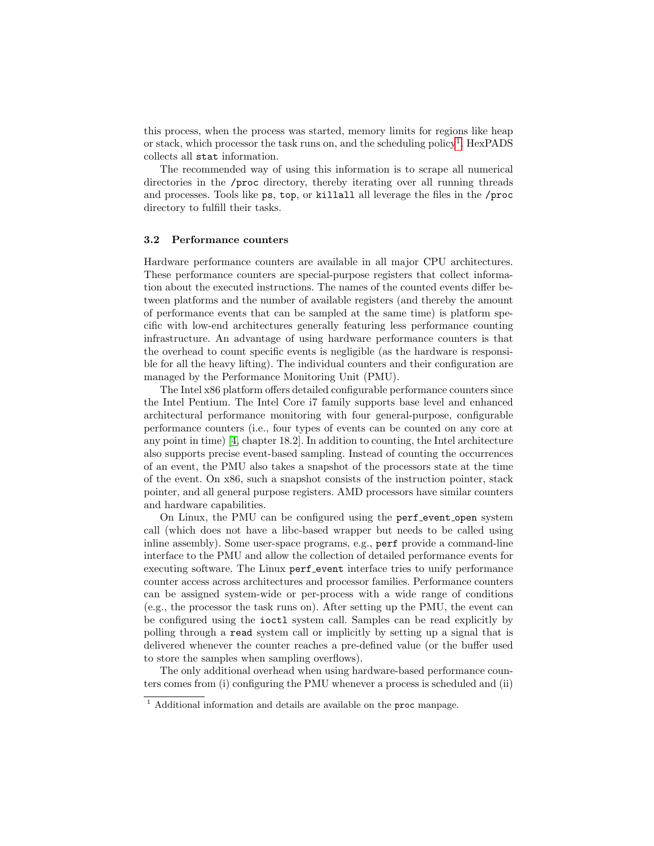this process, when the process was started, memory limits for regions like heap or stack, which processor the task runs on, and the scheduling policy<sup>[1](#page-3-0)</sup>. HexPADS collects all stat information.

The recommended way of using this information is to scrape all numerical directories in the /proc directory, thereby iterating over all running threads and processes. Tools like ps, top, or killall all leverage the files in the /proc directory to fulfill their tasks.

#### 3.2 Performance counters

Hardware performance counters are available in all major CPU architectures. These performance counters are special-purpose registers that collect information about the executed instructions. The names of the counted events differ between platforms and the number of available registers (and thereby the amount of performance events that can be sampled at the same time) is platform specific with low-end architectures generally featuring less performance counting infrastructure. An advantage of using hardware performance counters is that the overhead to count specific events is negligible (as the hardware is responsible for all the heavy lifting). The individual counters and their configuration are managed by the Performance Monitoring Unit (PMU).

The Intel x86 platform offers detailed configurable performance counters since the Intel Pentium. The Intel Core i7 family supports base level and enhanced architectural performance monitoring with four general-purpose, configurable performance counters (i.e., four types of events can be counted on any core at any point in time) [\[4,](#page-14-3) chapter 18.2]. In addition to counting, the Intel architecture also supports precise event-based sampling. Instead of counting the occurrences of an event, the PMU also takes a snapshot of the processors state at the time of the event. On x86, such a snapshot consists of the instruction pointer, stack pointer, and all general purpose registers. AMD processors have similar counters and hardware capabilities.

On Linux, the PMU can be configured using the perf\_event\_open system call (which does not have a libc-based wrapper but needs to be called using inline assembly). Some user-space programs, e.g., perf provide a command-line interface to the PMU and allow the collection of detailed performance events for executing software. The Linux perf\_event interface tries to unify performance counter access across architectures and processor families. Performance counters can be assigned system-wide or per-process with a wide range of conditions (e.g., the processor the task runs on). After setting up the PMU, the event can be configured using the ioctl system call. Samples can be read explicitly by polling through a read system call or implicitly by setting up a signal that is delivered whenever the counter reaches a pre-defined value (or the buffer used to store the samples when sampling overflows).

The only additional overhead when using hardware-based performance counters comes from (i) configuring the PMU whenever a process is scheduled and (ii)

<span id="page-3-0"></span><sup>1</sup> Additional information and details are available on the proc manpage.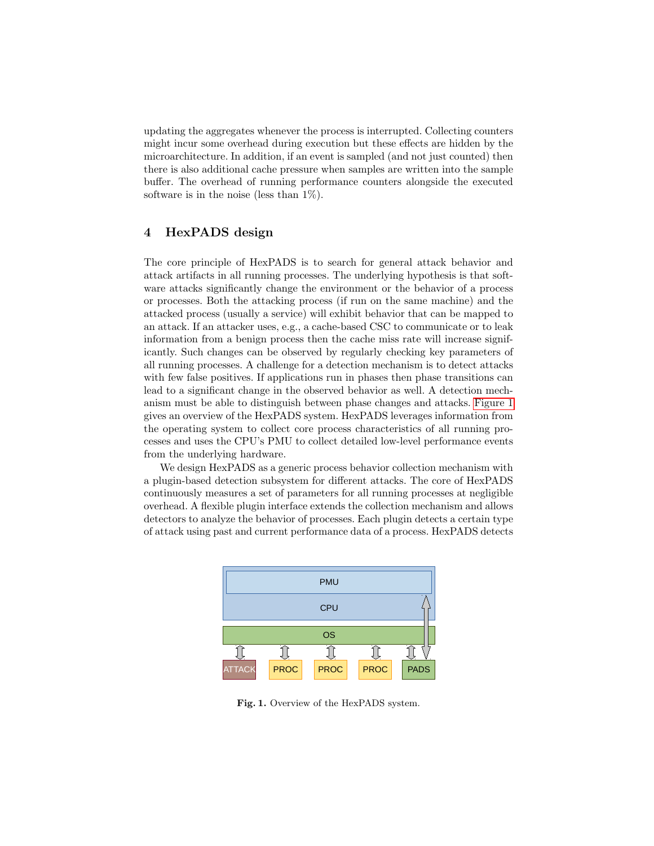updating the aggregates whenever the process is interrupted. Collecting counters might incur some overhead during execution but these effects are hidden by the microarchitecture. In addition, if an event is sampled (and not just counted) then there is also additional cache pressure when samples are written into the sample buffer. The overhead of running performance counters alongside the executed software is in the noise (less than 1%).

# <span id="page-4-1"></span>4 HexPADS design

The core principle of HexPADS is to search for general attack behavior and attack artifacts in all running processes. The underlying hypothesis is that software attacks significantly change the environment or the behavior of a process or processes. Both the attacking process (if run on the same machine) and the attacked process (usually a service) will exhibit behavior that can be mapped to an attack. If an attacker uses, e.g., a cache-based CSC to communicate or to leak information from a benign process then the cache miss rate will increase significantly. Such changes can be observed by regularly checking key parameters of all running processes. A challenge for a detection mechanism is to detect attacks with few false positives. If applications run in phases then phase transitions can lead to a significant change in the observed behavior as well. A detection mechanism must be able to distinguish between phase changes and attacks. [Figure 1](#page-4-0) gives an overview of the HexPADS system. HexPADS leverages information from the operating system to collect core process characteristics of all running processes and uses the CPU's PMU to collect detailed low-level performance events from the underlying hardware.

We design HexPADS as a generic process behavior collection mechanism with a plugin-based detection subsystem for different attacks. The core of HexPADS continuously measures a set of parameters for all running processes at negligible overhead. A flexible plugin interface extends the collection mechanism and allows detectors to analyze the behavior of processes. Each plugin detects a certain type of attack using past and current performance data of a process. HexPADS detects



<span id="page-4-0"></span>Fig. 1. Overview of the HexPADS system.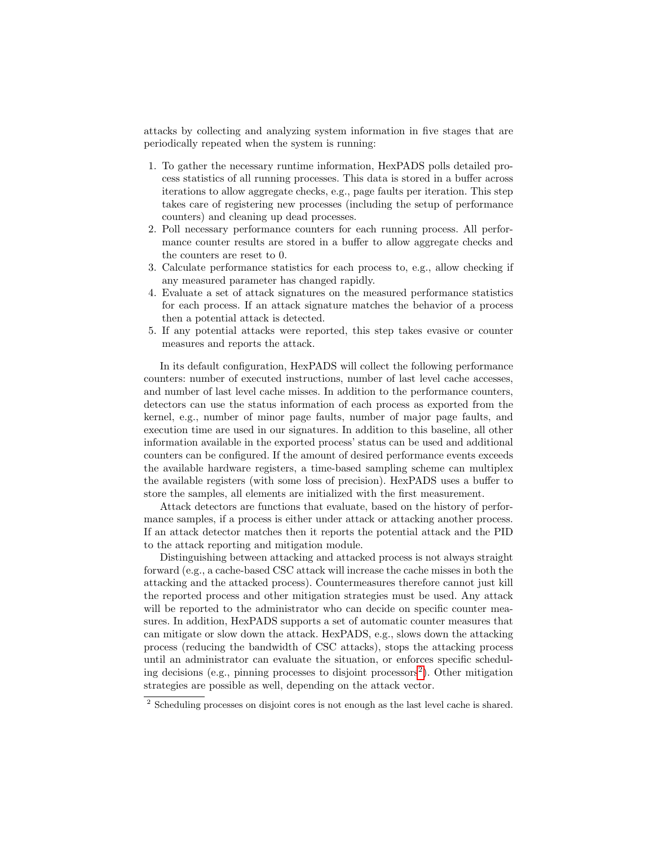attacks by collecting and analyzing system information in five stages that are periodically repeated when the system is running:

- 1. To gather the necessary runtime information, HexPADS polls detailed process statistics of all running processes. This data is stored in a buffer across iterations to allow aggregate checks, e.g., page faults per iteration. This step takes care of registering new processes (including the setup of performance counters) and cleaning up dead processes.
- 2. Poll necessary performance counters for each running process. All performance counter results are stored in a buffer to allow aggregate checks and the counters are reset to 0.
- 3. Calculate performance statistics for each process to, e.g., allow checking if any measured parameter has changed rapidly.
- 4. Evaluate a set of attack signatures on the measured performance statistics for each process. If an attack signature matches the behavior of a process then a potential attack is detected.
- 5. If any potential attacks were reported, this step takes evasive or counter measures and reports the attack.

In its default configuration, HexPADS will collect the following performance counters: number of executed instructions, number of last level cache accesses, and number of last level cache misses. In addition to the performance counters, detectors can use the status information of each process as exported from the kernel, e.g., number of minor page faults, number of major page faults, and execution time are used in our signatures. In addition to this baseline, all other information available in the exported process' status can be used and additional counters can be configured. If the amount of desired performance events exceeds the available hardware registers, a time-based sampling scheme can multiplex the available registers (with some loss of precision). HexPADS uses a buffer to store the samples, all elements are initialized with the first measurement.

Attack detectors are functions that evaluate, based on the history of performance samples, if a process is either under attack or attacking another process. If an attack detector matches then it reports the potential attack and the PID to the attack reporting and mitigation module.

Distinguishing between attacking and attacked process is not always straight forward (e.g., a cache-based CSC attack will increase the cache misses in both the attacking and the attacked process). Countermeasures therefore cannot just kill the reported process and other mitigation strategies must be used. Any attack will be reported to the administrator who can decide on specific counter measures. In addition, HexPADS supports a set of automatic counter measures that can mitigate or slow down the attack. HexPADS, e.g., slows down the attacking process (reducing the bandwidth of CSC attacks), stops the attacking process until an administrator can evaluate the situation, or enforces specific scheduling decisions (e.g., pinning processes to disjoint processors[2](#page-5-0) ). Other mitigation strategies are possible as well, depending on the attack vector.

<span id="page-5-0"></span><sup>2</sup> Scheduling processes on disjoint cores is not enough as the last level cache is shared.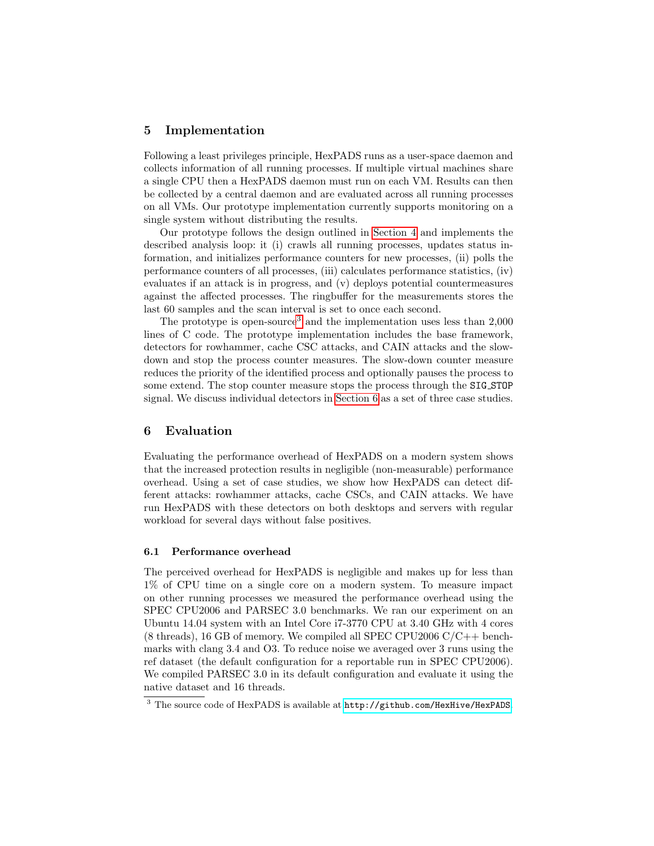# 5 Implementation

Following a least privileges principle, HexPADS runs as a user-space daemon and collects information of all running processes. If multiple virtual machines share a single CPU then a HexPADS daemon must run on each VM. Results can then be collected by a central daemon and are evaluated across all running processes on all VMs. Our prototype implementation currently supports monitoring on a single system without distributing the results.

Our prototype follows the design outlined in [Section 4](#page-4-1) and implements the described analysis loop: it (i) crawls all running processes, updates status information, and initializes performance counters for new processes, (ii) polls the performance counters of all processes, (iii) calculates performance statistics, (iv) evaluates if an attack is in progress, and (v) deploys potential countermeasures against the affected processes. The ringbuffer for the measurements stores the last 60 samples and the scan interval is set to once each second.

The prototype is open-source<sup>[3](#page-6-0)</sup> and the implementation uses less than  $2,000$ lines of C code. The prototype implementation includes the base framework, detectors for rowhammer, cache CSC attacks, and CAIN attacks and the slowdown and stop the process counter measures. The slow-down counter measure reduces the priority of the identified process and optionally pauses the process to some extend. The stop counter measure stops the process through the SIG STOP signal. We discuss individual detectors in [Section 6](#page-6-1) as a set of three case studies.

# <span id="page-6-1"></span>6 Evaluation

Evaluating the performance overhead of HexPADS on a modern system shows that the increased protection results in negligible (non-measurable) performance overhead. Using a set of case studies, we show how HexPADS can detect different attacks: rowhammer attacks, cache CSCs, and CAIN attacks. We have run HexPADS with these detectors on both desktops and servers with regular workload for several days without false positives.

## 6.1 Performance overhead

The perceived overhead for HexPADS is negligible and makes up for less than 1% of CPU time on a single core on a modern system. To measure impact on other running processes we measured the performance overhead using the SPEC CPU2006 and PARSEC 3.0 benchmarks. We ran our experiment on an Ubuntu 14.04 system with an Intel Core i7-3770 CPU at 3.40 GHz with 4 cores (8 threads), 16 GB of memory. We compiled all SPEC CPU2006 C/C++ benchmarks with clang 3.4 and O3. To reduce noise we averaged over 3 runs using the ref dataset (the default configuration for a reportable run in SPEC CPU2006). We compiled PARSEC 3.0 in its default configuration and evaluate it using the native dataset and 16 threads.

<span id="page-6-0"></span><sup>3</sup> The source code of HexPADS is available at <http://github.com/HexHive/HexPADS>.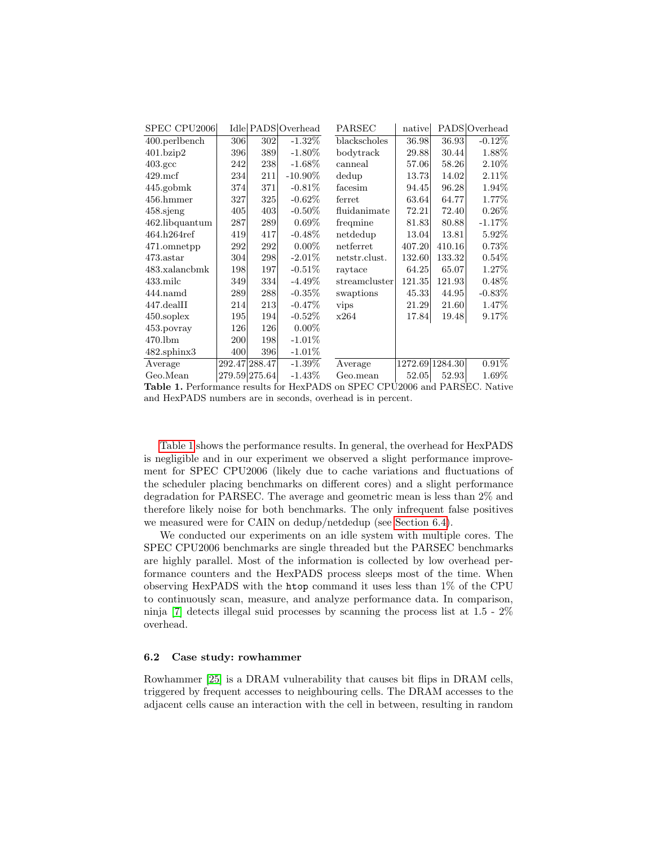| SPEC CPU2006          |     |               | Idle PADS Overhead | PARSEC        | native |                 | PADS Overhead |
|-----------------------|-----|---------------|--------------------|---------------|--------|-----------------|---------------|
| 400.perlbench         | 306 | 302           | $-1.32\%$          | blackscholes  | 36.98  | 36.93           | $-0.12\%$     |
| $401$ .bzip $2$       | 396 | 389           | $-1.80\%$          | bodytrack     | 29.88  | 30.44           | 1.88%         |
| $403.\mathrm{gcc}$    | 242 | 238           | $-1.68\%$          | canneal       | 57.06  | 58.26           | 2.10\%        |
| $429$ .mcf            | 234 | 211           | $-10.90\%$         | dedup         | 13.73  | 14.02           | $2.11\%$      |
| 445.gobmk             | 374 | 371           | $-0.81\%$          | facesim       | 94.45  | 96.28           | 1.94%         |
| 456.hmmer             | 327 | 325           | $-0.62\%$          | ferret        | 63.64  | 64.77           | 1.77%         |
| $458$ sieng           | 405 | 403           | $-0.50\%$          | fluidanimate  | 72.21  | 72.40           | $0.26\%$      |
| 462.libquantum        | 287 | 289           | $0.69\%$           | freqmine      | 81.83  | 80.88           | $-1.17\%$     |
| 464.h264ref           | 419 | 417           | $-0.48\%$          | netdedup      | 13.04  | 13.81           | 5.92%         |
| 471.omnetpp           | 292 | 292           | $0.00\%$           | netferret     | 407.20 | 410.16          | $0.73\%$      |
| $473.\mathrm{astar}$  | 304 | 298           | $-2.01\%$          | netstr.clust. | 132.60 | 133.32          | $0.54\%$      |
| 483.xalancbmk         | 198 | 197           | $-0.51\%$          | raytace       | 64.25  | 65.07           | 1.27%         |
| 433.milc              | 349 | 334           | $-4.49\%$          | streamcluster | 121.35 | 121.93          | $0.48\%$      |
| $444$ .namd           | 289 | 288           | $-0.35\%$          | swaptions     | 45.33  | 44.95           | $-0.83\%$     |
| $447.\mathrm{dealII}$ | 214 | 213           | $-0.47\%$          | vips          | 21.29  | 21.60           | 1.47\%        |
| $450$ .soplex         | 195 | 194           | $-0.52\%$          | x264          | 17.84  | 19.48           | 9.17\%        |
| 453.povray            | 126 | 126           | $0.00\%$           |               |        |                 |               |
| 470.lbm               | 200 | 198           | $-1.01\%$          |               |        |                 |               |
| 482.sphinx3           | 400 | 396           | $-1.01\%$          |               |        |                 |               |
| Average               |     | 292.47 288.47 | $-1.39\%$          | Average       |        | 1272.69 1284.30 | $0.91\%$      |
| Geo.Mean              |     | 279.59 275.64 | $-1.43\%$          | Geo.mean      | 52.05  | 52.93           | $1.69\%$      |
|                       |     |               |                    |               |        |                 |               |

<span id="page-7-0"></span>Table 1. Performance results for HexPADS on SPEC CPU2006 and PARSEC. Native and HexPADS numbers are in seconds, overhead is in percent.

[Table 1](#page-7-0) shows the performance results. In general, the overhead for HexPADS is negligible and in our experiment we observed a slight performance improvement for SPEC CPU2006 (likely due to cache variations and fluctuations of the scheduler placing benchmarks on different cores) and a slight performance degradation for PARSEC. The average and geometric mean is less than 2% and therefore likely noise for both benchmarks. The only infrequent false positives we measured were for CAIN on dedup/netdedup (see [Section 6.4\)](#page-9-0).

We conducted our experiments on an idle system with multiple cores. The SPEC CPU2006 benchmarks are single threaded but the PARSEC benchmarks are highly parallel. Most of the information is collected by low overhead performance counters and the HexPADS process sleeps most of the time. When observing HexPADS with the htop command it uses less than 1% of the CPU to continuously scan, measure, and analyze performance data. In comparison, ninja [\[7\]](#page-14-4) detects illegal suid processes by scanning the process list at 1.5 - 2% overhead.

## 6.2 Case study: rowhammer

Rowhammer [\[25\]](#page-15-3) is a DRAM vulnerability that causes bit flips in DRAM cells, triggered by frequent accesses to neighbouring cells. The DRAM accesses to the adjacent cells cause an interaction with the cell in between, resulting in random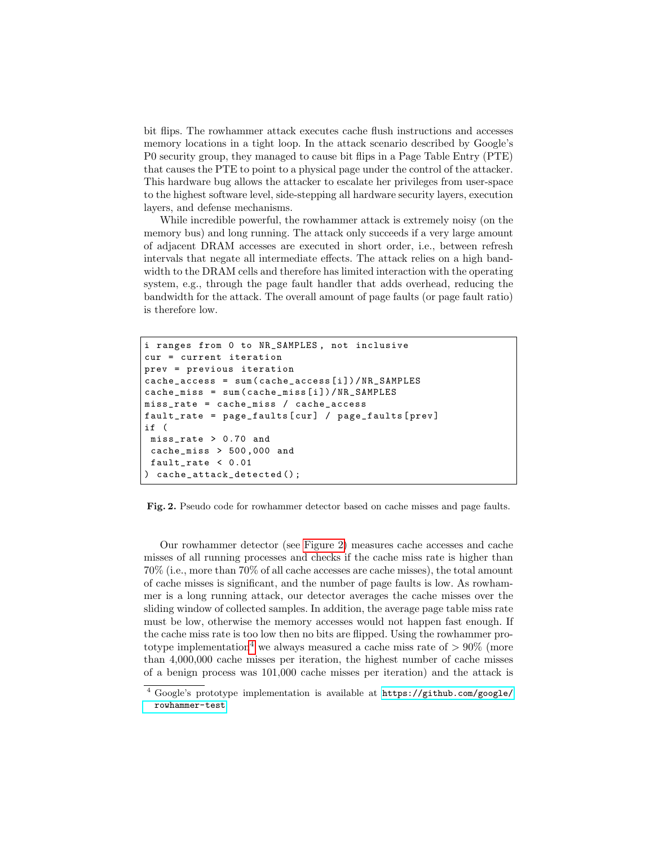bit flips. The rowhammer attack executes cache flush instructions and accesses memory locations in a tight loop. In the attack scenario described by Google's P0 security group, they managed to cause bit flips in a Page Table Entry (PTE) that causes the PTE to point to a physical page under the control of the attacker. This hardware bug allows the attacker to escalate her privileges from user-space to the highest software level, side-stepping all hardware security layers, execution layers, and defense mechanisms.

While incredible powerful, the rowhammer attack is extremely noisy (on the memory bus) and long running. The attack only succeeds if a very large amount of adjacent DRAM accesses are executed in short order, i.e., between refresh intervals that negate all intermediate effects. The attack relies on a high bandwidth to the DRAM cells and therefore has limited interaction with the operating system, e.g., through the page fault handler that adds overhead, reducing the bandwidth for the attack. The overall amount of page faults (or page fault ratio) is therefore low.

```
i ranges from 0 to NR_SAMPLES , not inclusive
cur = current iteration
prev = previous iteration
cache_access = sum ( cache_access [ i ]) / NR_SAMPLES
cache_miss = sum ( cache_miss [ i ]) / NR_SAMPLES
miss_rate = cache_miss / cache_access
fault_rate = page_faults [ cur ] / page_faults [ prev ]
if (
 miss_rate > 0.70 and
 cache_miss > 500 ,000 and
 fault_rate < 0.01
 ) cache_attack_detected () ;
```
<span id="page-8-0"></span>Fig. 2. Pseudo code for rowhammer detector based on cache misses and page faults.

Our rowhammer detector (see [Figure 2\)](#page-8-0) measures cache accesses and cache misses of all running processes and checks if the cache miss rate is higher than 70% (i.e., more than 70% of all cache accesses are cache misses), the total amount of cache misses is significant, and the number of page faults is low. As rowhammer is a long running attack, our detector averages the cache misses over the sliding window of collected samples. In addition, the average page table miss rate must be low, otherwise the memory accesses would not happen fast enough. If the cache miss rate is too low then no bits are flipped. Using the rowhammer pro-to type implementation<sup>[4](#page-8-1)</sup> we always measured a cache miss rate of  $> 90\%$  (more than 4,000,000 cache misses per iteration, the highest number of cache misses of a benign process was 101,000 cache misses per iteration) and the attack is

<span id="page-8-1"></span><sup>4</sup> Google's prototype implementation is available at [https://github.com/google/](https://github.com/google/rowhammer-test) [rowhammer-test](https://github.com/google/rowhammer-test).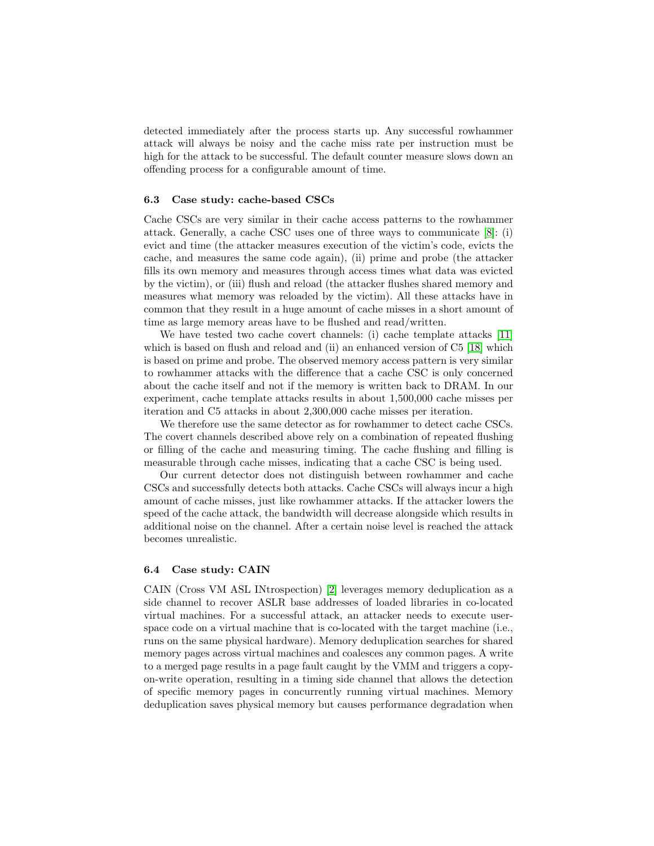detected immediately after the process starts up. Any successful rowhammer attack will always be noisy and the cache miss rate per instruction must be high for the attack to be successful. The default counter measure slows down an offending process for a configurable amount of time.

## 6.3 Case study: cache-based CSCs

Cache CSCs are very similar in their cache access patterns to the rowhammer attack. Generally, a cache CSC uses one of three ways to communicate [\[8\]](#page-14-5): (i) evict and time (the attacker measures execution of the victim's code, evicts the cache, and measures the same code again), (ii) prime and probe (the attacker fills its own memory and measures through access times what data was evicted by the victim), or (iii) flush and reload (the attacker flushes shared memory and measures what memory was reloaded by the victim). All these attacks have in common that they result in a huge amount of cache misses in a short amount of time as large memory areas have to be flushed and read/written.

We have tested two cache covert channels: (i) cache template attacks [\[11\]](#page-14-1) which is based on flush and reload and (ii) an enhanced version of C5 [\[18\]](#page-15-6) which is based on prime and probe. The observed memory access pattern is very similar to rowhammer attacks with the difference that a cache CSC is only concerned about the cache itself and not if the memory is written back to DRAM. In our experiment, cache template attacks results in about 1,500,000 cache misses per iteration and C5 attacks in about 2,300,000 cache misses per iteration.

We therefore use the same detector as for rowhammer to detect cache CSCs. The covert channels described above rely on a combination of repeated flushing or filling of the cache and measuring timing. The cache flushing and filling is measurable through cache misses, indicating that a cache CSC is being used.

Our current detector does not distinguish between rowhammer and cache CSCs and successfully detects both attacks. Cache CSCs will always incur a high amount of cache misses, just like rowhammer attacks. If the attacker lowers the speed of the cache attack, the bandwidth will decrease alongside which results in additional noise on the channel. After a certain noise level is reached the attack becomes unrealistic.

#### <span id="page-9-0"></span>6.4 Case study: CAIN

CAIN (Cross VM ASL INtrospection) [\[2\]](#page-14-2) leverages memory deduplication as a side channel to recover ASLR base addresses of loaded libraries in co-located virtual machines. For a successful attack, an attacker needs to execute userspace code on a virtual machine that is co-located with the target machine (i.e., runs on the same physical hardware). Memory deduplication searches for shared memory pages across virtual machines and coalesces any common pages. A write to a merged page results in a page fault caught by the VMM and triggers a copyon-write operation, resulting in a timing side channel that allows the detection of specific memory pages in concurrently running virtual machines. Memory deduplication saves physical memory but causes performance degradation when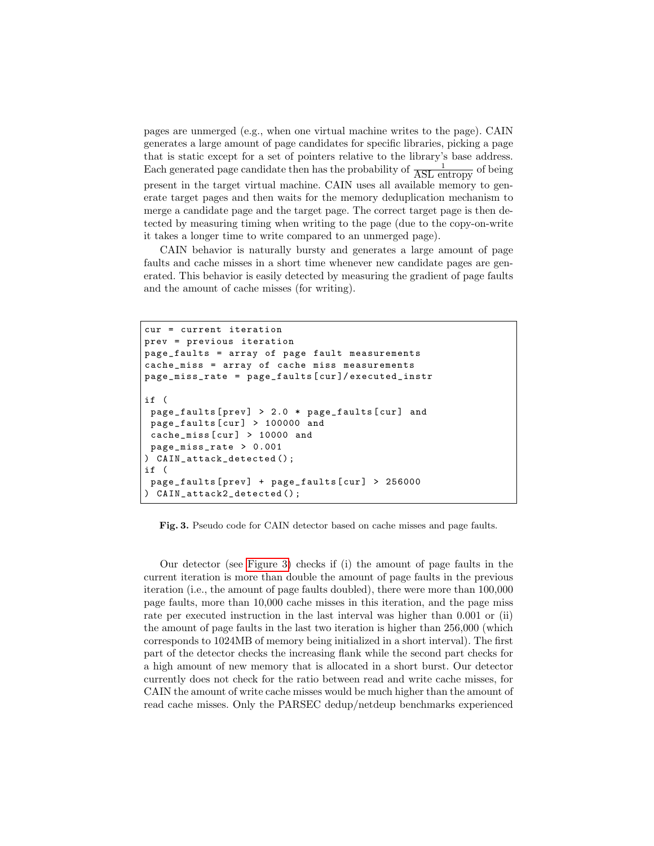pages are unmerged (e.g., when one virtual machine writes to the page). CAIN generates a large amount of page candidates for specific libraries, picking a page that is static except for a set of pointers relative to the library's base address. Each generated page candidate then has the probability of  $\frac{1}{\text{ASL entropy}}$  of being present in the target virtual machine. CAIN uses all available memory to generate target pages and then waits for the memory deduplication mechanism to merge a candidate page and the target page. The correct target page is then detected by measuring timing when writing to the page (due to the copy-on-write it takes a longer time to write compared to an unmerged page).

CAIN behavior is naturally bursty and generates a large amount of page faults and cache misses in a short time whenever new candidate pages are generated. This behavior is easily detected by measuring the gradient of page faults and the amount of cache misses (for writing).

```
cur = current iteration
prev = previous iteration
page_faults = array of page fault measurements
cache_miss = array of cache miss measurements
page_miss_rate = page_faults [ cur ]/ executed_instr
if (
 page_faults [ prev ] > 2.0 * page_faults [ cur ] and
 page_faults [ cur ] > 100000 and
 cache_miss [ cur ] > 10000 and
 page_miss_rate > 0.001
) CAIN_attack_detected () ;
if (
page_faults [ prev ] + page_faults [ cur ] > 256000
) CAIN_attack2_detected () ;
```
<span id="page-10-0"></span>Fig. 3. Pseudo code for CAIN detector based on cache misses and page faults.

Our detector (see [Figure 3\)](#page-10-0) checks if (i) the amount of page faults in the current iteration is more than double the amount of page faults in the previous iteration (i.e., the amount of page faults doubled), there were more than 100,000 page faults, more than 10,000 cache misses in this iteration, and the page miss rate per executed instruction in the last interval was higher than 0.001 or (ii) the amount of page faults in the last two iteration is higher than 256,000 (which corresponds to 1024MB of memory being initialized in a short interval). The first part of the detector checks the increasing flank while the second part checks for a high amount of new memory that is allocated in a short burst. Our detector currently does not check for the ratio between read and write cache misses, for CAIN the amount of write cache misses would be much higher than the amount of read cache misses. Only the PARSEC dedup/netdeup benchmarks experienced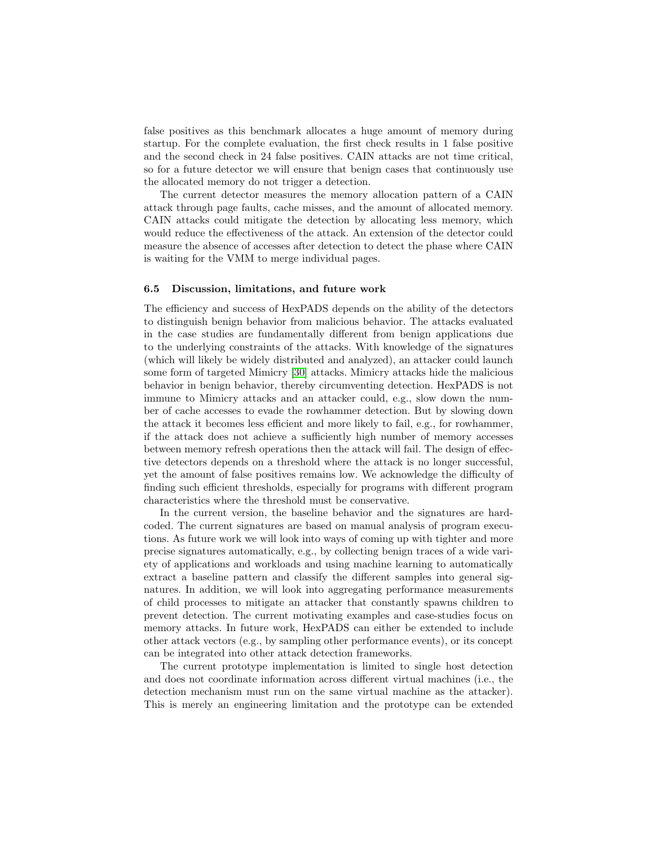false positives as this benchmark allocates a huge amount of memory during startup. For the complete evaluation, the first check results in 1 false positive and the second check in 24 false positives. CAIN attacks are not time critical, so for a future detector we will ensure that benign cases that continuously use the allocated memory do not trigger a detection.

The current detector measures the memory allocation pattern of a CAIN attack through page faults, cache misses, and the amount of allocated memory. CAIN attacks could mitigate the detection by allocating less memory, which would reduce the effectiveness of the attack. An extension of the detector could measure the absence of accesses after detection to detect the phase where CAIN is waiting for the VMM to merge individual pages.

#### 6.5 Discussion, limitations, and future work

The efficiency and success of HexPADS depends on the ability of the detectors to distinguish benign behavior from malicious behavior. The attacks evaluated in the case studies are fundamentally different from benign applications due to the underlying constraints of the attacks. With knowledge of the signatures (which will likely be widely distributed and analyzed), an attacker could launch some form of targeted Mimicry [\[30\]](#page-15-7) attacks. Mimicry attacks hide the malicious behavior in benign behavior, thereby circumventing detection. HexPADS is not immune to Mimicry attacks and an attacker could, e.g., slow down the number of cache accesses to evade the rowhammer detection. But by slowing down the attack it becomes less efficient and more likely to fail, e.g., for rowhammer, if the attack does not achieve a sufficiently high number of memory accesses between memory refresh operations then the attack will fail. The design of effective detectors depends on a threshold where the attack is no longer successful, yet the amount of false positives remains low. We acknowledge the difficulty of finding such efficient thresholds, especially for programs with different program characteristics where the threshold must be conservative.

In the current version, the baseline behavior and the signatures are hardcoded. The current signatures are based on manual analysis of program executions. As future work we will look into ways of coming up with tighter and more precise signatures automatically, e.g., by collecting benign traces of a wide variety of applications and workloads and using machine learning to automatically extract a baseline pattern and classify the different samples into general signatures. In addition, we will look into aggregating performance measurements of child processes to mitigate an attacker that constantly spawns children to prevent detection. The current motivating examples and case-studies focus on memory attacks. In future work, HexPADS can either be extended to include other attack vectors (e.g., by sampling other performance events), or its concept can be integrated into other attack detection frameworks.

The current prototype implementation is limited to single host detection and does not coordinate information across different virtual machines (i.e., the detection mechanism must run on the same virtual machine as the attacker). This is merely an engineering limitation and the prototype can be extended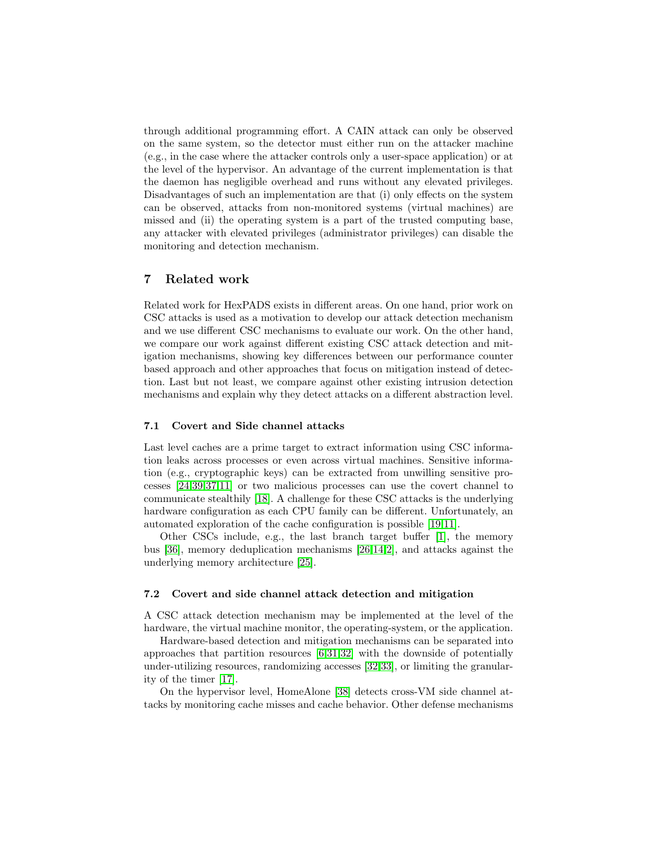through additional programming effort. A CAIN attack can only be observed on the same system, so the detector must either run on the attacker machine (e.g., in the case where the attacker controls only a user-space application) or at the level of the hypervisor. An advantage of the current implementation is that the daemon has negligible overhead and runs without any elevated privileges. Disadvantages of such an implementation are that (i) only effects on the system can be observed, attacks from non-monitored systems (virtual machines) are missed and (ii) the operating system is a part of the trusted computing base, any attacker with elevated privileges (administrator privileges) can disable the monitoring and detection mechanism.

# 7 Related work

Related work for HexPADS exists in different areas. On one hand, prior work on CSC attacks is used as a motivation to develop our attack detection mechanism and we use different CSC mechanisms to evaluate our work. On the other hand, we compare our work against different existing CSC attack detection and mitigation mechanisms, showing key differences between our performance counter based approach and other approaches that focus on mitigation instead of detection. Last but not least, we compare against other existing intrusion detection mechanisms and explain why they detect attacks on a different abstraction level.

#### 7.1 Covert and Side channel attacks

Last level caches are a prime target to extract information using CSC information leaks across processes or even across virtual machines. Sensitive information (e.g., cryptographic keys) can be extracted from unwilling sensitive processes [\[24](#page-15-4)[,39,](#page-16-0)[37](#page-15-5)[,11\]](#page-14-1) or two malicious processes can use the covert channel to communicate stealthily [\[18\]](#page-15-6). A challenge for these CSC attacks is the underlying hardware configuration as each CPU family can be different. Unfortunately, an automated exploration of the cache configuration is possible [\[19,](#page-15-8)[11\]](#page-14-1).

Other CSCs include, e.g., the last branch target buffer [\[1\]](#page-14-6), the memory bus [\[36\]](#page-15-9), memory deduplication mechanisms [\[26,](#page-15-10)[14,](#page-14-7)[2\]](#page-14-2), and attacks against the underlying memory architecture [\[25\]](#page-15-3).

## 7.2 Covert and side channel attack detection and mitigation

A CSC attack detection mechanism may be implemented at the level of the hardware, the virtual machine monitor, the operating-system, or the application.

Hardware-based detection and mitigation mechanisms can be separated into approaches that partition resources [\[6](#page-14-8)[,31,](#page-15-11)[32\]](#page-15-12) with the downside of potentially under-utilizing resources, randomizing accesses [\[32,](#page-15-12)[33\]](#page-15-13), or limiting the granularity of the timer [\[17\]](#page-14-9).

On the hypervisor level, HomeAlone [\[38\]](#page-15-14) detects cross-VM side channel attacks by monitoring cache misses and cache behavior. Other defense mechanisms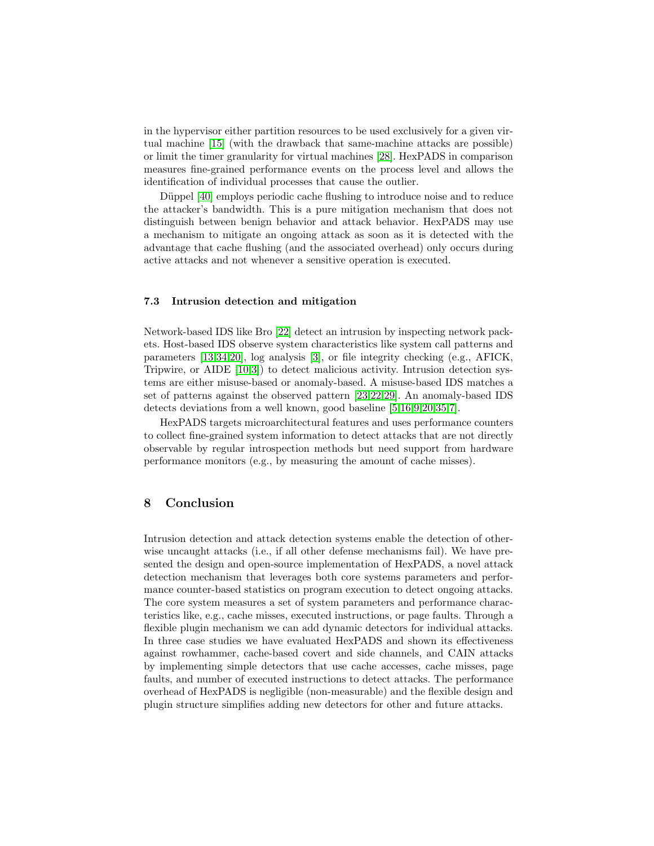in the hypervisor either partition resources to be used exclusively for a given virtual machine [\[15\]](#page-14-10) (with the drawback that same-machine attacks are possible) or limit the timer granularity for virtual machines [\[28\]](#page-15-15). HexPADS in comparison measures fine-grained performance events on the process level and allows the identification of individual processes that cause the outlier.

Düppel [\[40\]](#page-16-1) employs periodic cache flushing to introduce noise and to reduce the attacker's bandwidth. This is a pure mitigation mechanism that does not distinguish between benign behavior and attack behavior. HexPADS may use a mechanism to mitigate an ongoing attack as soon as it is detected with the advantage that cache flushing (and the associated overhead) only occurs during active attacks and not whenever a sensitive operation is executed.

#### 7.3 Intrusion detection and mitigation

Network-based IDS like Bro [\[22\]](#page-15-2) detect an intrusion by inspecting network packets. Host-based IDS observe system characteristics like system call patterns and parameters [\[13,](#page-14-11)[34,](#page-15-16)[20\]](#page-15-17), log analysis [\[3\]](#page-14-12), or file integrity checking (e.g., AFICK, Tripwire, or AIDE [\[10,](#page-14-13)[3\]](#page-14-12)) to detect malicious activity. Intrusion detection systems are either misuse-based or anomaly-based. A misuse-based IDS matches a set of patterns against the observed pattern [\[23,](#page-15-18)[22,](#page-15-2)[29\]](#page-15-19). An anomaly-based IDS detects deviations from a well known, good baseline [\[5,](#page-14-14)[16,](#page-14-15)[9,](#page-14-16)[20,](#page-15-17)[35,](#page-15-20)[7\]](#page-14-4).

HexPADS targets microarchitectural features and uses performance counters to collect fine-grained system information to detect attacks that are not directly observable by regular introspection methods but need support from hardware performance monitors (e.g., by measuring the amount of cache misses).

# 8 Conclusion

Intrusion detection and attack detection systems enable the detection of otherwise uncaught attacks (i.e., if all other defense mechanisms fail). We have presented the design and open-source implementation of HexPADS, a novel attack detection mechanism that leverages both core systems parameters and performance counter-based statistics on program execution to detect ongoing attacks. The core system measures a set of system parameters and performance characteristics like, e.g., cache misses, executed instructions, or page faults. Through a flexible plugin mechanism we can add dynamic detectors for individual attacks. In three case studies we have evaluated HexPADS and shown its effectiveness against rowhammer, cache-based covert and side channels, and CAIN attacks by implementing simple detectors that use cache accesses, cache misses, page faults, and number of executed instructions to detect attacks. The performance overhead of HexPADS is negligible (non-measurable) and the flexible design and plugin structure simplifies adding new detectors for other and future attacks.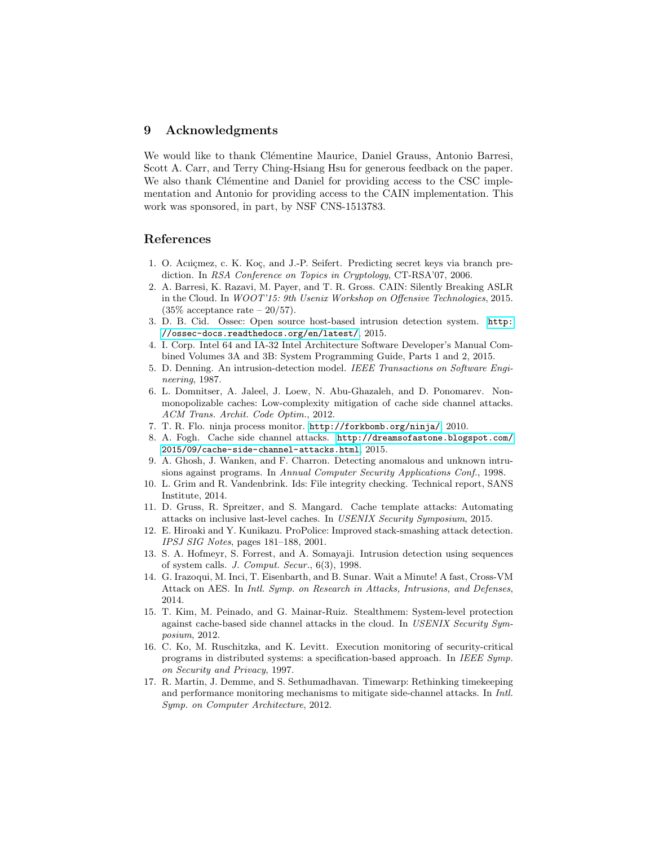## 9 Acknowledgments

We would like to thank Clémentine Maurice, Daniel Grauss, Antonio Barresi, Scott A. Carr, and Terry Ching-Hsiang Hsu for generous feedback on the paper. We also thank Clémentine and Daniel for providing access to the CSC implementation and Antonio for providing access to the CAIN implementation. This work was sponsored, in part, by NSF CNS-1513783.

## References

- <span id="page-14-6"></span>1. O. Aciiçmez, c. K. Koç, and J.-P. Seifert. Predicting secret keys via branch prediction. In RSA Conference on Topics in Cryptology, CT-RSA'07, 2006.
- <span id="page-14-2"></span>2. A. Barresi, K. Razavi, M. Payer, and T. R. Gross. CAIN: Silently Breaking ASLR in the Cloud. In WOOT'15: 9th Usenix Workshop on Offensive Technologies, 2015.  $(35\% \text{ acceptance rate} - 20/57).$
- <span id="page-14-12"></span>3. D. B. Cid. Ossec: Open source host-based intrusion detection system. [http:](http://ossec-docs.readthedocs.org/en/latest/) [//ossec-docs.readthedocs.org/en/latest/](http://ossec-docs.readthedocs.org/en/latest/), 2015.
- <span id="page-14-3"></span>4. I. Corp. Intel 64 and IA-32 Intel Architecture Software Developer's Manual Combined Volumes 3A and 3B: System Programming Guide, Parts 1 and 2, 2015.
- <span id="page-14-14"></span>5. D. Denning. An intrusion-detection model. IEEE Transactions on Software Engineering, 1987.
- <span id="page-14-8"></span>6. L. Domnitser, A. Jaleel, J. Loew, N. Abu-Ghazaleh, and D. Ponomarev. Nonmonopolizable caches: Low-complexity mitigation of cache side channel attacks. ACM Trans. Archit. Code Optim., 2012.
- <span id="page-14-4"></span>7. T. R. Flo. ninja process monitor. <http://forkbomb.org/ninja/>, 2010.
- <span id="page-14-5"></span>8. A. Fogh. Cache side channel attacks. [http://dreamsofastone.blogspot.com/](http://dreamsofastone.blogspot.com/2015/09/cache-side-channel-attacks.html) [2015/09/cache-side-channel-attacks.html](http://dreamsofastone.blogspot.com/2015/09/cache-side-channel-attacks.html), 2015.
- <span id="page-14-16"></span>9. A. Ghosh, J. Wanken, and F. Charron. Detecting anomalous and unknown intrusions against programs. In Annual Computer Security Applications Conf., 1998.
- <span id="page-14-13"></span>10. L. Grim and R. Vandenbrink. Ids: File integrity checking. Technical report, SANS Institute, 2014.
- <span id="page-14-1"></span>11. D. Gruss, R. Spreitzer, and S. Mangard. Cache template attacks: Automating attacks on inclusive last-level caches. In USENIX Security Symposium, 2015.
- <span id="page-14-0"></span>12. E. Hiroaki and Y. Kunikazu. ProPolice: Improved stack-smashing attack detection. IPSJ SIG Notes, pages 181–188, 2001.
- <span id="page-14-11"></span>13. S. A. Hofmeyr, S. Forrest, and A. Somayaji. Intrusion detection using sequences of system calls. J. Comput. Secur., 6(3), 1998.
- <span id="page-14-7"></span>14. G. Irazoqui, M. Inci, T. Eisenbarth, and B. Sunar. Wait a Minute! A fast, Cross-VM Attack on AES. In Intl. Symp. on Research in Attacks, Intrusions, and Defenses, 2014.
- <span id="page-14-10"></span>15. T. Kim, M. Peinado, and G. Mainar-Ruiz. Stealthmem: System-level protection against cache-based side channel attacks in the cloud. In USENIX Security Symposium, 2012.
- <span id="page-14-15"></span>16. C. Ko, M. Ruschitzka, and K. Levitt. Execution monitoring of security-critical programs in distributed systems: a specification-based approach. In IEEE Symp. on Security and Privacy, 1997.
- <span id="page-14-9"></span>17. R. Martin, J. Demme, and S. Sethumadhavan. Timewarp: Rethinking timekeeping and performance monitoring mechanisms to mitigate side-channel attacks. In Intl. Symp. on Computer Architecture, 2012.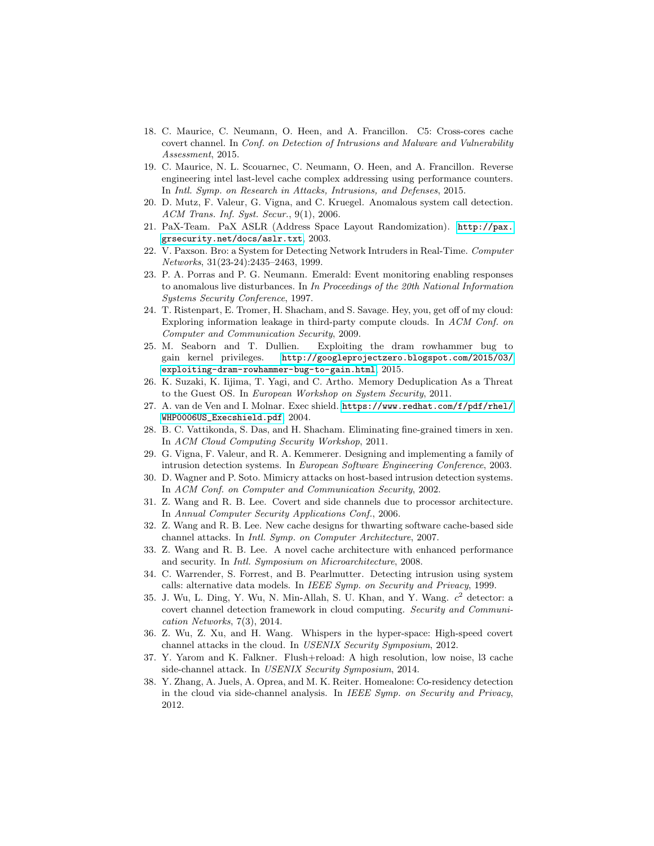- <span id="page-15-6"></span>18. C. Maurice, C. Neumann, O. Heen, and A. Francillon. C5: Cross-cores cache covert channel. In Conf. on Detection of Intrusions and Malware and Vulnerability Assessment, 2015.
- <span id="page-15-8"></span>19. C. Maurice, N. L. Scouarnec, C. Neumann, O. Heen, and A. Francillon. Reverse engineering intel last-level cache complex addressing using performance counters. In Intl. Symp. on Research in Attacks, Intrusions, and Defenses, 2015.
- <span id="page-15-17"></span>20. D. Mutz, F. Valeur, G. Vigna, and C. Kruegel. Anomalous system call detection. ACM Trans. Inf. Syst. Secur., 9(1), 2006.
- <span id="page-15-0"></span>21. PaX-Team. PaX ASLR (Address Space Layout Randomization). [http://pax.](http://pax.grsecurity.net/docs/aslr.txt) [grsecurity.net/docs/aslr.txt](http://pax.grsecurity.net/docs/aslr.txt), 2003.
- <span id="page-15-2"></span>22. V. Paxson. Bro: a System for Detecting Network Intruders in Real-Time. Computer Networks, 31(23-24):2435–2463, 1999.
- <span id="page-15-18"></span>23. P. A. Porras and P. G. Neumann. Emerald: Event monitoring enabling responses to anomalous live disturbances. In In Proceedings of the 20th National Information Systems Security Conference, 1997.
- <span id="page-15-4"></span>24. T. Ristenpart, E. Tromer, H. Shacham, and S. Savage. Hey, you, get off of my cloud: Exploring information leakage in third-party compute clouds. In ACM Conf. on Computer and Communication Security, 2009.
- <span id="page-15-3"></span>25. M. Seaborn and T. Dullien. Exploiting the dram rowhammer bug to gain kernel privileges. [http://googleprojectzero.blogspot.com/2015/03/](http://googleprojectzero.blogspot.com/2015/03/exploiting-dram-rowhammer-bug-to-gain.html) [exploiting-dram-rowhammer-bug-to-gain.html](http://googleprojectzero.blogspot.com/2015/03/exploiting-dram-rowhammer-bug-to-gain.html), 2015.
- <span id="page-15-10"></span>26. K. Suzaki, K. Iijima, T. Yagi, and C. Artho. Memory Deduplication As a Threat to the Guest OS. In European Workshop on System Security, 2011.
- <span id="page-15-1"></span>27. A. van de Ven and I. Molnar. Exec shield. [https://www.redhat.com/f/pdf/rhel/](https://www.redhat.com/f/pdf/rhel/WHP0006US_Execshield.pdf) [WHP0006US\\_Execshield.pdf](https://www.redhat.com/f/pdf/rhel/WHP0006US_Execshield.pdf), 2004.
- <span id="page-15-15"></span>28. B. C. Vattikonda, S. Das, and H. Shacham. Eliminating fine-grained timers in xen. In ACM Cloud Computing Security Workshop, 2011.
- <span id="page-15-19"></span>29. G. Vigna, F. Valeur, and R. A. Kemmerer. Designing and implementing a family of intrusion detection systems. In European Software Engineering Conference, 2003.
- <span id="page-15-7"></span>30. D. Wagner and P. Soto. Mimicry attacks on host-based intrusion detection systems. In ACM Conf. on Computer and Communication Security, 2002.
- <span id="page-15-11"></span>31. Z. Wang and R. B. Lee. Covert and side channels due to processor architecture. In Annual Computer Security Applications Conf., 2006.
- <span id="page-15-12"></span>32. Z. Wang and R. B. Lee. New cache designs for thwarting software cache-based side channel attacks. In Intl. Symp. on Computer Architecture, 2007.
- <span id="page-15-13"></span>33. Z. Wang and R. B. Lee. A novel cache architecture with enhanced performance and security. In Intl. Symposium on Microarchitecture, 2008.
- <span id="page-15-16"></span>34. C. Warrender, S. Forrest, and B. Pearlmutter. Detecting intrusion using system calls: alternative data models. In IEEE Symp. on Security and Privacy, 1999.
- <span id="page-15-20"></span>35. J. Wu, L. Ding, Y. Wu, N. Min-Allah, S. U. Khan, and Y. Wang.  $c^2$  detector: a covert channel detection framework in cloud computing. Security and Communication Networks, 7(3), 2014.
- <span id="page-15-9"></span>36. Z. Wu, Z. Xu, and H. Wang. Whispers in the hyper-space: High-speed covert channel attacks in the cloud. In USENIX Security Symposium, 2012.
- <span id="page-15-5"></span>37. Y. Yarom and K. Falkner. Flush+reload: A high resolution, low noise, l3 cache side-channel attack. In USENIX Security Symposium, 2014.
- <span id="page-15-14"></span>38. Y. Zhang, A. Juels, A. Oprea, and M. K. Reiter. Homealone: Co-residency detection in the cloud via side-channel analysis. In IEEE Symp. on Security and Privacy, 2012.